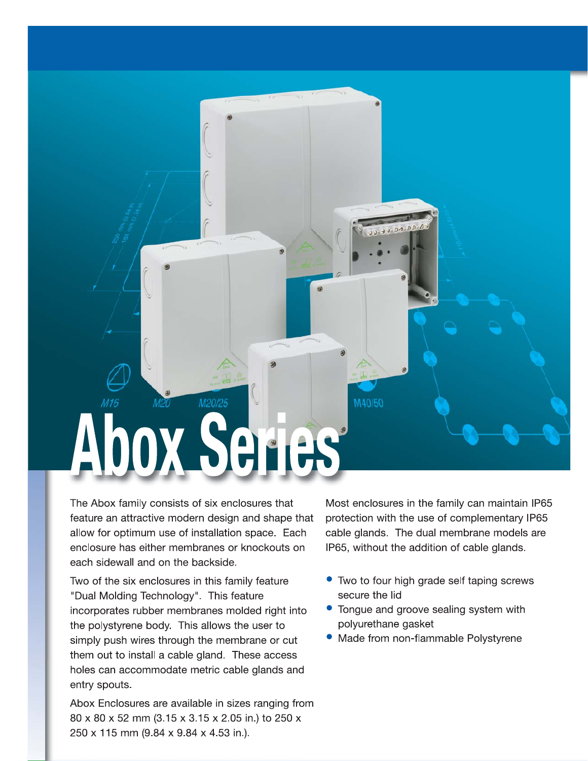# OX Serie The Abox family consists of six enclosures that

M20/25

feature an attractive modern design and shape that allow for optimum use of installation space. Each enclosure has either membranes or knockouts on each sidewall and on the backside.

Two of the six enclosures in this family feature "Dual Molding Technology". This feature incorporates rubber membranes molded right into the polystyrene body. This allows the user to simply push wires through the membrane or cut them out to install a cable gland. These access holes can accommodate metric cable glands and entry spouts.

Abox Enclosures are available in sizes ranging from 80 x 80 x 52 mm (3.15 x 3.15 x 2.05 in.) to 250 x 250 x 115 mm (9.84 x 9.84 x 4.53 in.).

Most enclosures in the family can maintain IP65 protection with the use of complementary IP65 cable glands. The dual membrane models are IP65, without the addition of cable glands.

M40/50

- Two to four high grade self taping screws secure the lid
- Tongue and groove sealing system with polyurethane gasket
- Made from non-flammable Polystyrene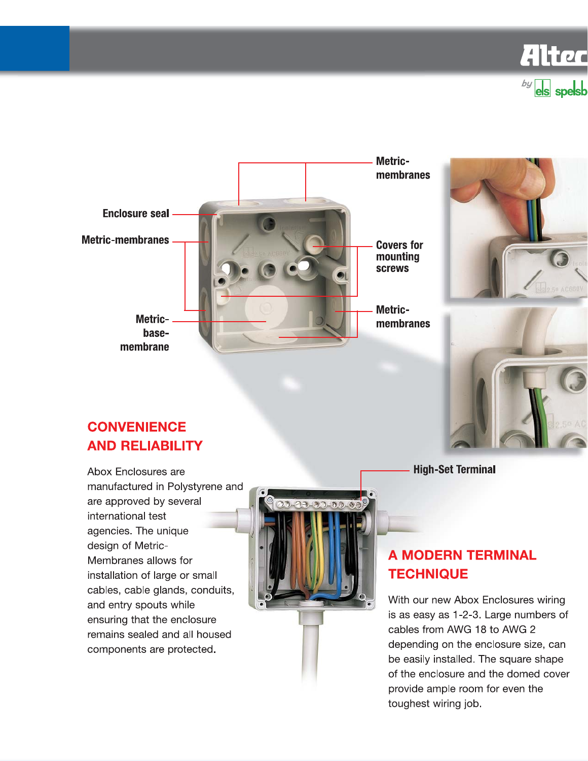



# **CONVENIENCE AND RELIABILITY**

Abox Enclosures are manufactured in Polystyrene and are approved by several international test agencies. The unique design of Metric-Membranes allows for installation of large or small cables, cable glands, conduits, and entry spouts while ensuring that the enclosure remains sealed and all housed components are protected.



**High-Set Terminal** 

# **A MODERN TERMINAL TECHNIQUE**

With our new Abox Enclosures wiring is as easy as 1-2-3. Large numbers of cables from AWG 18 to AWG 2 depending on the enclosure size, can be easily installed. The square shape of the enclosure and the domed cover provide ample room for even the toughest wiring job.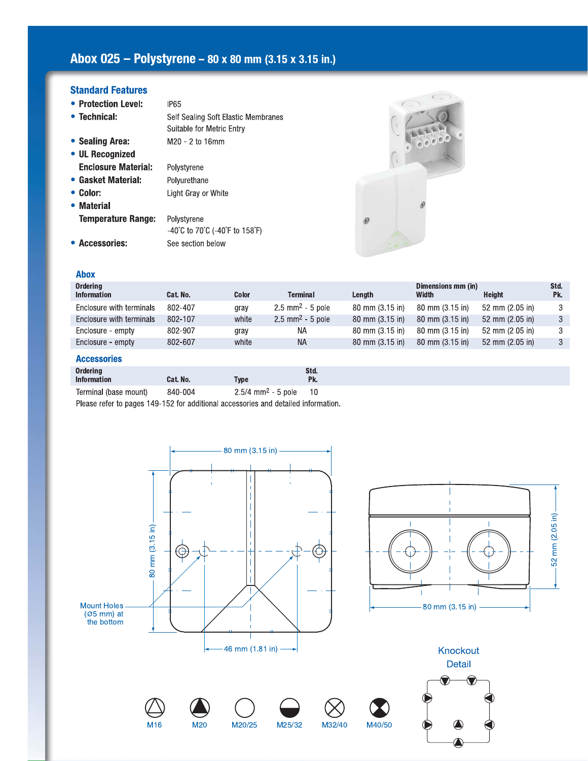# Abox 025 - Polystyrene - 80 x 80 mm (3.15 x 3.15 in.)

# **Standard Features**

| • Protection Level:        | IP65                                                                      |
|----------------------------|---------------------------------------------------------------------------|
| • Technical:               | Self Sealing Soft Elastic Membranes                                       |
|                            | Suitable for Metric Entry                                                 |
| • Sealing Area:            | M20 - 2 to 16mm                                                           |
| • UL Recognized            |                                                                           |
| <b>Enclosure Material:</b> | Polystyrene                                                               |
| • Gasket Material:         | Polvurethane                                                              |
| Color:                     | Light Gray or White                                                       |
| Material                   |                                                                           |
| <b>Temperature Range:</b>  | Polystyrene                                                               |
|                            | $-40^{\circ}$ C to 70 $^{\circ}$ C (-40 $^{\circ}$ F to 158 $^{\circ}$ F) |
| <b>Accessories:</b>        | See section below                                                         |



### **Abox**

| <b>Ordering</b><br><b>Information</b> | Cat. No. | <b>Color</b> | <b>Terminal</b>                     | Length                             | Dimensions mm (in)<br>Width | <b>Height</b>   | Std.<br>Pk. |
|---------------------------------------|----------|--------------|-------------------------------------|------------------------------------|-----------------------------|-----------------|-------------|
| Enclosure with terminals              | 802-407  | gray         | $2.5 \text{ mm}^2 - 5 \text{ pole}$ | 80 mm (3.15 in)                    | 80 mm (3.15 in)             | 52 mm (2.05 in) | 3           |
| Enclosure with terminals              | 802-107  | white        | $2.5 \text{ mm}^2 - 5 \text{ pole}$ | 80 mm (3.15 in)                    | 80 mm (3.15 in)             | 52 mm (2.05 in) | 3           |
| Enclosure - empty                     | 802-907  | gray         | ΝA                                  | 80 mm (3.15 in)                    | 80 mm (3.15 in)             | 52 mm (2.05 in) | 3           |
| Enclosure - empty                     | 802-607  | white        | <b>NA</b>                           | $80 \text{ mm } (3.15 \text{ in})$ | 80 mm (3.15 in)             | 52 mm (2.05 in) | 3           |

### **Accessories**

| <b>Ordering</b><br><b>Information</b> | Cat. No. | Type                             | Std.<br>Pk. |
|---------------------------------------|----------|----------------------------------|-------------|
| Terminal (base mount)                 | 840-004  | $2.5/4$ mm <sup>2</sup> - 5 pole |             |

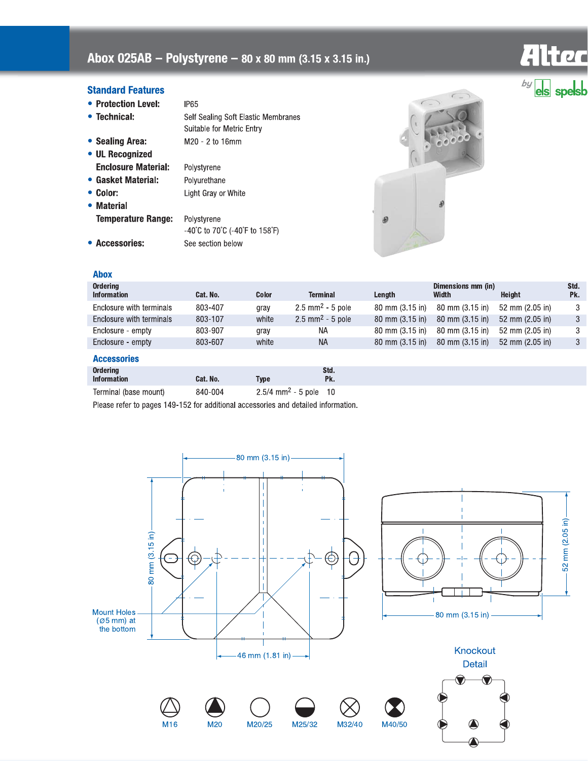# Abox 025AB - Polystyrene - 80 x 80 mm (3.15 x 3.15 in.)

### **Standard Features**

- Protection Level:
- Technical: Self Sealing Soft Elastic Membranes Suitable for Metric Entry • Sealing Area: M20 - 2 to 16mm • UL Recognized **Enclosure Material:** Polystyrene • Gasket Material: Polyurethane • Color: Light Gray or White • Material **Temperature Range:** Polystyrene -40°C to 70°C (-40°F to 158°F)

IP<sub>65</sub>



| <b>Abox</b>                           |          |       |                                     |                           |                             |                           |               |
|---------------------------------------|----------|-------|-------------------------------------|---------------------------|-----------------------------|---------------------------|---------------|
| <b>Ordering</b><br><b>Information</b> | Cat. No. | Color | Terminal                            | Length                    | Dimensions mm (in)<br>Width | Height                    | Std.<br>Pk.   |
| Enclosure with terminals              | 803-407  | gray  | $2.5 \text{ mm}^2 - 5 \text{ pole}$ | 80 mm (3.15 in)           | 80 mm (3.15 in)             | 52 mm (2.05 in)           | 3             |
| Enclosure with terminals              | 803-107  | white | $2.5 \text{ mm}^2 - 5 \text{ pole}$ | 80 mm (3.15 in)           | $80 \text{ mm}$ (3.15 in)   | 52 mm $(2.05 \text{ in})$ | $\mathcal{E}$ |
| Enclosure - empty                     | 803-907  | gray  | ΝA                                  | 80 mm (3.15 in)           | $80 \text{ mm}$ (3.15 in)   | 52 mm (2.05 in)           | 3             |
| Enclosure - empty                     | 803-607  | white | <b>NA</b>                           | $80 \text{ mm}$ (3.15 in) | $80 \text{ mm}$ (3.15 in)   | 52 mm $(2.05 \text{ in})$ | 3             |

### **Accessories**

• Accessories:

| <b>Ordering</b><br><b>Information</b> | Cat. No. | Type                                | Std.<br>Pk. |
|---------------------------------------|----------|-------------------------------------|-------------|
| Terminal (base mount)                 | 840-004  | $2.5/4$ mm <sup>2</sup> - 5 pole 10 |             |

See section below

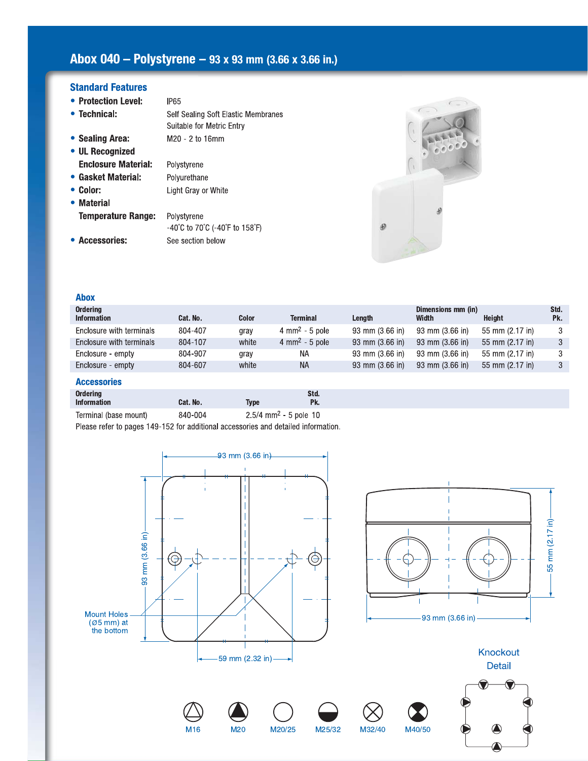# Abox 040 - Polystyrene - 93 x 93 mm (3.66 x 3.66 in.)

# **Standard Features**

| • Protection Level:        | IP65                                |
|----------------------------|-------------------------------------|
| $\bullet$ Technical:       | Self Sealing Soft Elastic Membranes |
|                            | Suitable for Metric Entry           |
| • Sealing Area:            | M20 - 2 to 16mm                     |
| • UL Recognized            |                                     |
| <b>Enclosure Material:</b> | Polystyrene                         |
| • Gasket Material:         | Polvurethane                        |
| $\bullet$ Color:           | Light Gray or White                 |
| • Material                 |                                     |
| <b>Temperature Range:</b>  | Polystyrene                         |
|                            | -40°C to 70°C (-40°F to 158°F)      |
| • Accessories:             | See section below                   |



# **Abox**

| <b>Ordering</b>          |          |       |                                   |                 | Dimensions mm (in) |                 | Std. |
|--------------------------|----------|-------|-----------------------------------|-----------------|--------------------|-----------------|------|
| <b>Information</b>       | Cat. No. | Color | <b>Terminal</b>                   | Length          | Width              | Height          | Pk.  |
| Enclosure with terminals | 804-407  | gray  | $4 \text{ mm}^2 - 5 \text{ pole}$ | 93 mm (3.66 in) | 93 mm (3.66 in)    | 55 mm (2.17 in) | 3    |
| Enclosure with terminals | 804-107  | white | $4 \text{ mm}^2 - 5 \text{ pole}$ | 93 mm (3.66 in) | 93 mm (3.66 in)    | 55 mm (2.17 in) | 3    |
| Enclosure - empty        | 804-907  | gray  | ΝA                                | 93 mm (3.66 in) | 93 mm (3.66 in)    | 55 mm (2.17 in) | 3    |
| Enclosure - empty        | 804-607  | white | ΝA                                | 93 mm (3.66 in) | 93 mm (3.66 in)    | 55 mm (2.17 in) | 3    |

# **Accessories**

| <b>Ordering</b>       |          |                                     | Std. |
|-----------------------|----------|-------------------------------------|------|
| <b>Information</b>    | Cat. No. | Type                                | Pk.  |
| Terminal (base mount) | 840-004  | $2.5/4$ mm <sup>2</sup> - 5 pole 10 |      |





Detail

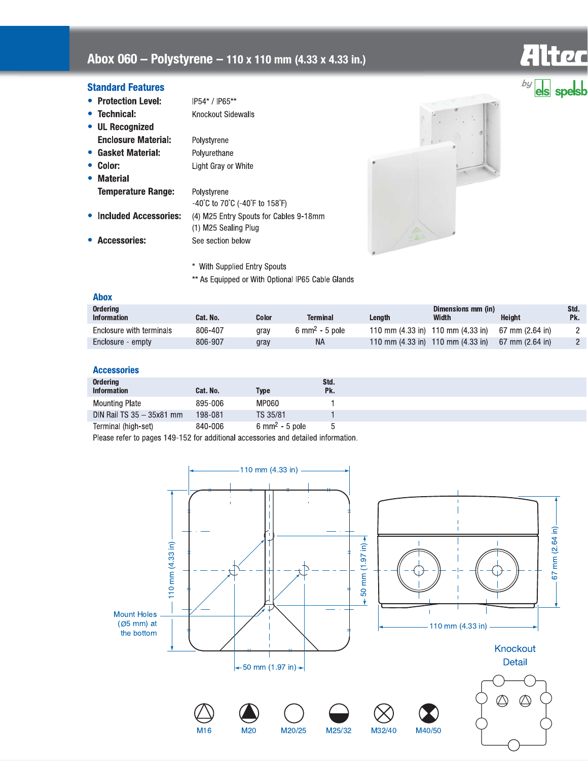# Abox 060 - Polystyrene - 110 x 110 mm (4.33 x 4.33 in.)

IP54\* / IP65\*\*

### **Standard Features**

- Protection Level:
- Technical: Knockout Sidewalls • UL Recognized **Enclosure Material:** Polystyrene • Gasket Material: Polyurethane
- Color: Light Gray or White • Material **Temperature Range:**
- Polystyrene -40°C to 70°C (-40°F to 158°F) • Included Accessories: (4) M25 Entry Spouts for Cables 9-18mm (1) M25 Sealing Plug See section below



\* With Supplied Entry Spouts

\*\* As Equipped or With Optional IP65 Cable Glands

| <b>Abox</b>                           |          |       |                                   |        |                                                       |                 |             |
|---------------------------------------|----------|-------|-----------------------------------|--------|-------------------------------------------------------|-----------------|-------------|
| <b>Ordering</b><br><b>Information</b> | Cat. No. | Color | <b>Terminal</b>                   | Length | Dimensions mm (in)<br>Width                           | <b>Height</b>   | Std.<br>Pk. |
| Enclosure with terminals              | 806-407  | gray  | $6 \text{ mm}^2 - 5 \text{ pole}$ |        | 110 mm $(4.33 \text{ in})$ 110 mm $(4.33 \text{ in})$ | 67 mm (2.64 in) | 2           |
| Enclosure - empty                     | 806-907  | gray  | NA                                |        | 110 mm $(4.33 \text{ in})$ 110 mm $(4.33 \text{ in})$ | 67 mm (2.64 in) |             |

# **Accessories**

• Accessories:

| <b>Ordering</b><br><b>Information</b> | Cat. No. | <b>Type</b>                       | Std.<br>Pk. |
|---------------------------------------|----------|-----------------------------------|-------------|
| <b>Mounting Plate</b>                 | 895-006  | MP060                             |             |
| DIN Rail TS 35 - 35x81 mm             | 198-081  | TS 35/81                          |             |
| Terminal (high-set)                   | 840-006  | $6 \text{ mm}^2 - 5 \text{ pole}$ |             |

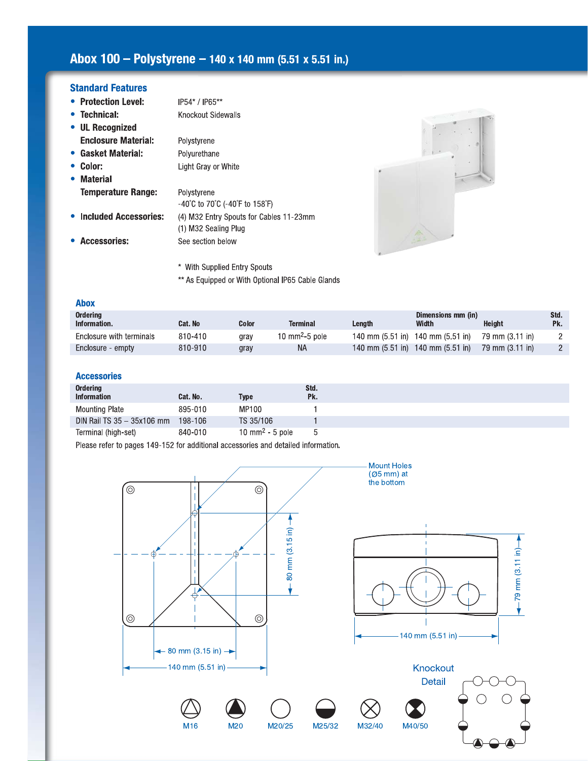# Abox 100 - Polystyrene - 140 x 140 mm (5.51 x 5.51 in.)

# **Standard Features**

- Protection Level: IP54\* / IP65\*\*
- Technical: Knockout Sidewalls • UL Recognized **Enclosure Material:** Polystyrene • Gasket Material: Polyurethane • Color: Light Gray or White
- Material **Temperature F**

| <b>Material</b><br>$\bullet$ |                                         |
|------------------------------|-----------------------------------------|
| <b>Temperature Range:</b>    | Polystyrene                             |
|                              | -40°C to 70°C (-40°F to 158°F)          |
| • Included Accessories:      | (4) M32 Entry Spouts for Cables 11-23mm |
|                              | (1) M32 Sealing Plug                    |
| • Accessories:               | See section below                       |

\* With Supplied Entry Spouts



\*\* As Equipped or With Optional IP65 Cable Glands

# **Abox**

| <b>Ordering</b><br>Information. | Cat. No | Color | Terminal                  | Lenath | Dimensions mm (in)<br>Width                           | <b>Height</b>   | Std.<br>Pk. |
|---------------------------------|---------|-------|---------------------------|--------|-------------------------------------------------------|-----------------|-------------|
| Enclosure with terminals        | 810-410 | grav  | $10 \text{ mm}^2$ -5 pole |        | 140 mm $(5.51 \text{ in})$ 140 mm $(5.51 \text{ in})$ | 79 mm (3.11 in) |             |
| Enclosure - empty               | 810-910 | gray  | <b>NA</b>                 |        | 140 mm $(5.51 \text{ in})$ 140 mm $(5.51 \text{ in})$ | 79 mm (3.11 in) |             |

# **Accessories**

| Ordering<br><b>Information</b> | Cat. No. | Type                               | Std.<br>Pk. |
|--------------------------------|----------|------------------------------------|-------------|
| <b>Mounting Plate</b>          | 895-010  | MP100                              |             |
| DIN Rail TS 35 - 35x106 mm     | 198-106  | TS 35/106                          |             |
| Terminal (high-set)            | 840-010  | $10 \text{ mm}^2 - 5 \text{ pole}$ | 5           |

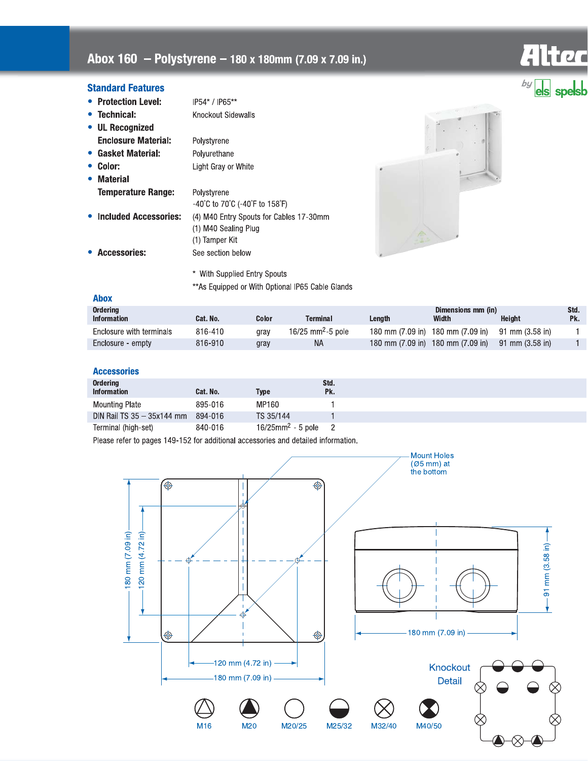IP54\* / IP65\*\*

### **Standard Features**

- Protection Level:
- Technical: Knockout Sidewalls • UL Recognized **Enclosure Material:** Polystyrene
- Gasket Material: Polyurethane • Color: Light Gray or White • Material **Temperature Range:** Polystyrene -40°C to 70°C (-40°F to 158°F) • Included Accessories: (4) M40 Entry Spouts for Cables 17-30mm (1) M40 Sealing Plug (1) Tamper Kit • Accessories: See section below

\* With Supplied Entry Spouts \*\* As Equipped or With Optional IP65 Cable Glands



| Abox                                  |          |       |                                 |        |                                   |                 |             |
|---------------------------------------|----------|-------|---------------------------------|--------|-----------------------------------|-----------------|-------------|
| <b>Ordering</b><br><b>Information</b> | Cat. No. | Color | <b>Terminal</b>                 | Lenath | Dimensions mm (in)<br>Width       | <b>Height</b>   | Std.<br>Pk. |
| Enclosure with terminals              | 816-410  | grav  | $16/25$ mm <sup>2</sup> -5 pole |        | 180 mm (7.09 in) 180 mm (7.09 in) | 91 mm (3.58 in) |             |
| Enclosure - empty                     | 816-910  | gray  | <b>NA</b>                       |        | 180 mm (7.09 in) 180 mm (7.09 in) | 91 mm (3.58 in) |             |

# **Accessories**

| Ordering<br><b>Information</b> | Cat. No. | Type                             | Std.<br>Pk. |
|--------------------------------|----------|----------------------------------|-------------|
| <b>Mounting Plate</b>          | 895-016  | MP160                            |             |
| DIN Rail TS 35 - 35x144 mm     | 894-016  | TS 35/144                        |             |
| Terminal (high-set)            | 840-016  | $16/25$ mm <sup>2</sup> - 5 pole |             |